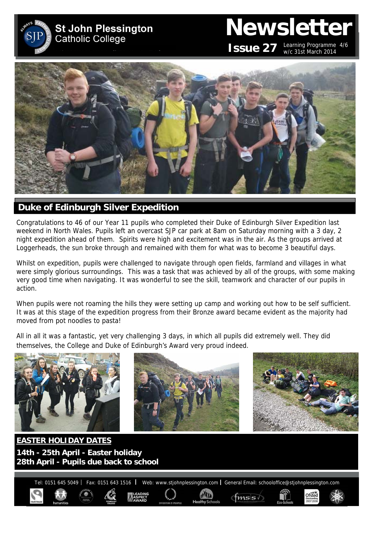

# **Newsletter ISSUE 27** Learning Programme 4/6 w/c 31st March 2014

Ofsted



## **Duke of Edinburgh Silver Expedition**

Congratulations to 46 of our Year 11 pupils who completed their Duke of Edinburgh Silver Expedition last weekend in North Wales. Pupils left an overcast SJP car park at 8am on Saturday morning with a 3 day, 2 night expedition ahead of them. Spirits were high and excitement was in the air. As the groups arrived at Loggerheads, the sun broke through and remained with them for what was to become 3 beautiful days.

Whilst on expedition, pupils were challenged to navigate through open fields, farmland and villages in what were simply glorious surroundings. This was a task that was achieved by all of the groups, with some making very good time when navigating. It was wonderful to see the skill, teamwork and character of our pupils in action.

When pupils were not roaming the hills they were setting up camp and working out how to be self sufficient. It was at this stage of the expedition progress from their Bronze award became evident as the majority had moved from pot noodles to pasta!

All in all it was a fantastic, yet very challenging 3 days, in which all pupils did extremely well. They did themselves, the College and Duke of Edinburgh's Award very proud indeed.



**EASTER HOLIDAY DATES 14th - 25th April - Easter holiday 28th April - Pupils due back to school** 

Tel: 0151 645 5049 | Fax: 0151 643 1516 | Web: www.stjohnplessington.com | General Email: schooloffice@stjohnplessington.com

 $f$ msis $\sqrt$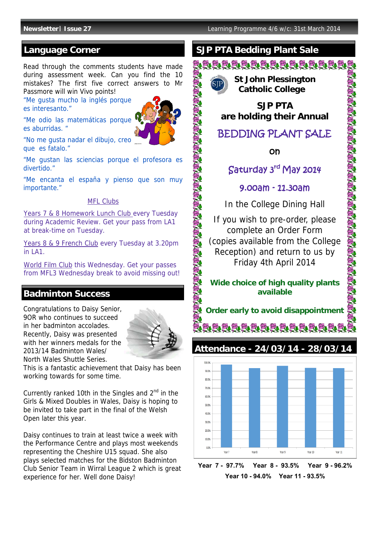## **Language Corner**

Read through the comments students have made during assessment week. Can you find the 10 mistakes? The first five correct answers to Mr Passmore will win Vivo points!

"Me gusta mucho la inglés porque es interesanto."



"Me odio las matemáticas porque es aburridas. "

"No me gusta nadar el dibujo, creo que es fatalo."

"Me gustan las sciencias porque el profesora es divertido."

"Me encanta el españa y pienso que son muy importante."

#### MFL Clubs

Years 7 & 8 Homework Lunch Club every Tuesday during Academic Review. Get your pass from LA1 at break-time on Tuesday.

Years 8 & 9 French Club every Tuesday at 3.20pm in LA1.

World Film Club this Wednesday. Get your passes from MFL3 Wednesday break to avoid missing out!

## **Badminton Success**

Congratulations to Daisy Senior, 9OR who continues to succeed in her badminton accolades. Recently, Daisy was presented with her winners medals for the 2013/14 Badminton Wales/ North Wales Shuttle Series.



This is a fantastic achievement that Daisy has been working towards for some time.

Currently ranked 10th in the Singles and  $2^{nd}$  in the Girls & Mixed Doubles in Wales, Daisy is hoping to be invited to take part in the final of the Welsh Open later this year.

Daisy continues to train at least twice a week with the Performance Centre and plays most weekends representing the Cheshire U15 squad. She also plays selected matches for the Bidston Badminton Club Senior Team in Wirral League 2 which is great experience for her. Well done Daisy!

## **SJP PTA Bedding Plant Sale**

<u>SIAADADADADADADAD</u>

 **St John Plessington** 

SAN SAN SAN SAN SAN SAN SAN

 **Catholic College** 

**SJP PTA are holding their Annual**

## BEDDING PLANT SALE

on

## Saturday 3rd May 2014

#### 9.00am - 11.30am

In the College Dining Hall

If you wish to pre-order, please complete an Order Form (copies available from the College Reception) and return to us by Friday 4th April 2014

#### **Wide choice of high quality plants available**

**Order early to avoid disappointment** 

BIDDDDA DAILD DIA

**Attendance - 24/03/14 - 28/03/14** 



**Year 7 - 97.7% Year 8 - 93.5% Year 9 - 96.2% Year 10 - 94.0% Year 11 - 93.5%**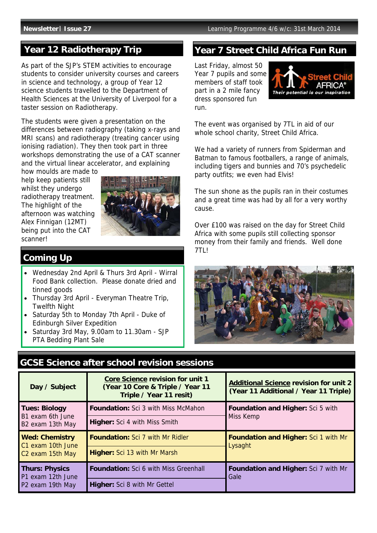## **Year 12 Radiotherapy Trip**

As part of the SJP's STEM activities to encourage students to consider university courses and careers in science and technology, a group of Year 12 science students travelled to the Department of Health Sciences at the University of Liverpool for a taster session on Radiotherapy.

The students were given a presentation on the differences between radiography (taking x-rays and MRI scans) and radiotherapy (treating cancer using ionising radiation). They then took part in three workshops demonstrating the use of a CAT scanner and the virtual linear accelerator, and explaining

how moulds are made to help keep patients still whilst they undergo radiotherapy treatment. The highlight of the afternoon was watching Alex Finnigan (12MT) being put into the CAT scanner!



## **Coming Up**

- Wednesday 2nd April & Thurs 3rd April Wirral Food Bank collection. Please donate dried and tinned goods
- Thursday 3rd April Everyman Theatre Trip, Twelfth Night
- Saturday 5th to Monday 7th April Duke of Edinburgh Silver Expedition
- Saturday 3rd May, 9.00am to 11.30am SJP PTA Bedding Plant Sale

## **Year 7 Street Child Africa Fun Run**

Last Friday, almost 50 Year 7 pupils and some members of staff took part in a 2 mile fancy dress sponsored fun run.



The event was organised by 7TL in aid of our whole school charity, Street Child Africa.

We had a variety of runners from Spiderman and Batman to famous footballers, a range of animals. including tigers and bunnies and 70's psychedelic party outfits; we even had Elvis!

The sun shone as the pupils ran in their costumes and a great time was had by all for a very worthy cause.

Over £100 was raised on the day for Street Child Africa with some pupils still collecting sponsor money from their family and friends. Well done 7TL!



## **GCSE Science after school revision sessions**

| Day / Subject                                                              | <b>Core Science revision for unit 1</b><br>(Year 10 Core & Triple / Year 11<br>Triple / Year 11 resit) | <b>Additional Science revision for unit 2</b><br>(Year 11 Additional / Year 11 Triple) |
|----------------------------------------------------------------------------|--------------------------------------------------------------------------------------------------------|----------------------------------------------------------------------------------------|
| <b>Tues: Biology</b><br>B1 exam 6th June<br>B <sub>2</sub> exam 13th May   | Foundation: Sci 3 with Miss McMahon                                                                    | <b>Foundation and Higher: Sci 5 with</b><br>Miss Kemp                                  |
|                                                                            | <b>Higher:</b> Sci 4 with Miss Smith                                                                   |                                                                                        |
| <b>Wed: Chemistry</b><br>C1 exam 10th June<br>C <sub>2</sub> exam 15th May | <b>Foundation: Sci 7 with Mr Ridler</b>                                                                | <b>Foundation and Higher: Sci 1 with Mr</b><br>Lysaght                                 |
|                                                                            | <b>Higher:</b> Sci 13 with Mr Marsh                                                                    |                                                                                        |
| <b>Thurs: Physics</b><br>P1 exam 12th June<br>P <sub>2</sub> exam 19th May | <b>Foundation:</b> Sci 6 with Miss Greenhall                                                           | Foundation and Higher: Sci 7 with Mr<br>Gale                                           |
|                                                                            | <b>Higher:</b> Sci 8 with Mr Gettel                                                                    |                                                                                        |